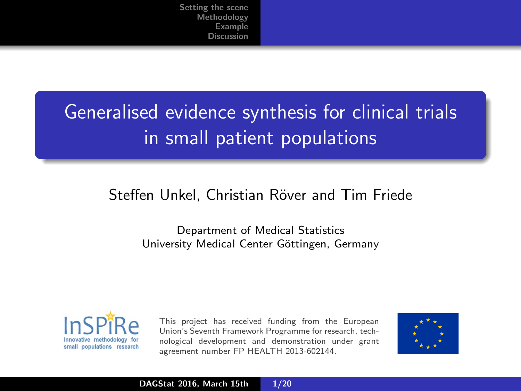# <span id="page-0-0"></span>Generalised evidence synthesis for clinical trials in small patient populations

#### Steffen Unkel, Christian Röver and Tim Friede

Department of Medical Statistics University Medical Center Göttingen, Germany



This project has received funding from the European Union's Seventh Framework Programme for research, technological development and demonstration under grant agreement number FP HEALTH 2013-602144.

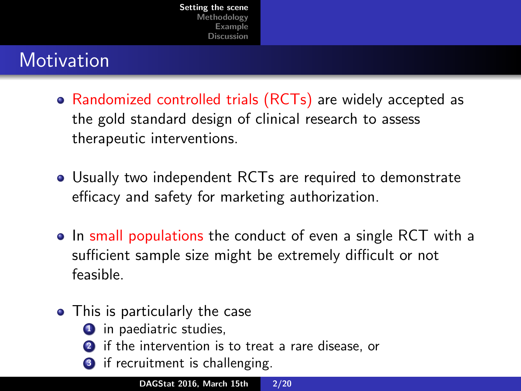## <span id="page-1-0"></span>**Motivation**

- Randomized controlled trials (RCTs) are widely accepted as the gold standard design of clinical research to assess therapeutic interventions.
- Usually two independent RCTs are required to demonstrate efficacy and safety for marketing authorization.
- In small populations the conduct of even a single RCT with a sufficient sample size might be extremely difficult or not feasible.
- This is particularly the case
	- **1** in paediatric studies,
	- if the intervention is to treat a rare disease, or
	- if recruitment is challenging.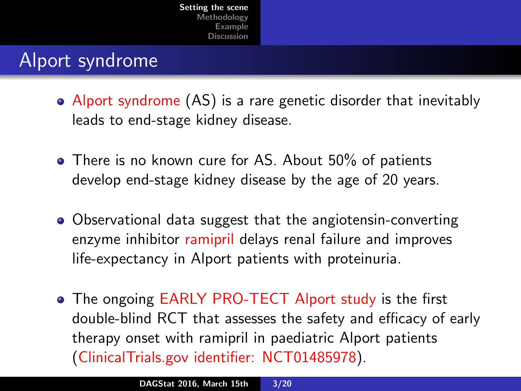### Alport syndrome

- Alport syndrome (AS) is a rare genetic disorder that inevitably leads to end-stage kidney disease.
- There is no known cure for AS. About 50% of patients develop end-stage kidney disease by the age of 20 years.
- Observational data suggest that the angiotensin-converting enzyme inhibitor ramipril delays renal failure and improves life-expectancy in Alport patients with proteinuria.
- The ongoing EARLY PRO-TECT Alport study is the first double-blind RCT that assesses the safety and efficacy of early therapy onset with ramipril in paediatric Alport patients (ClinicalTrials.gov identifier: NCT01485978).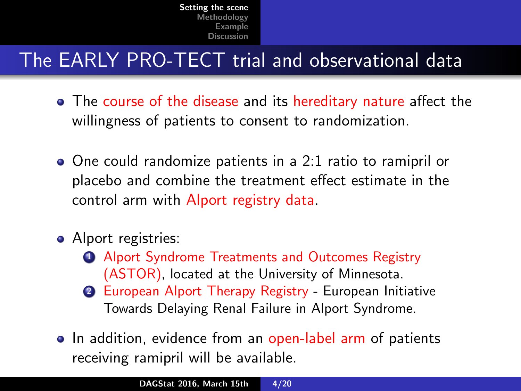## The EARLY PRO-TECT trial and observational data

- The course of the disease and its hereditary nature affect the willingness of patients to consent to randomization.
- One could randomize patients in a 2:1 ratio to ramipril or placebo and combine the treatment effect estimate in the control arm with Alport registry data.
- Alport registries:
	- **1** Alport Syndrome Treatments and Outcomes Registry (ASTOR), located at the University of Minnesota.
	- <sup>2</sup> European Alport Therapy Registry European Initiative Towards Delaying Renal Failure in Alport Syndrome.
- In addition, evidence from an open-label arm of patients receiving ramipril will be available.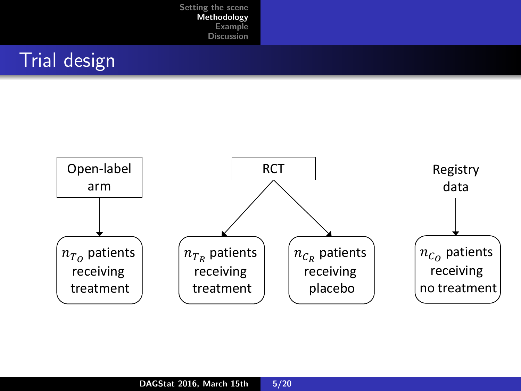## <span id="page-4-0"></span>Trial design

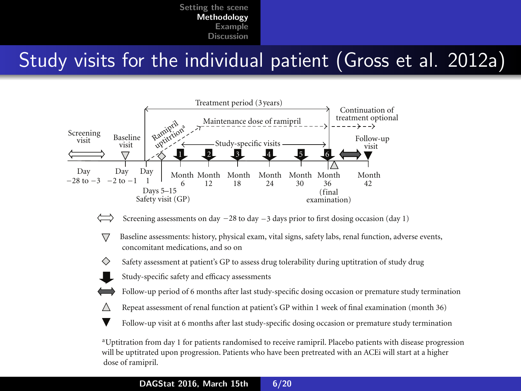#### Study visits for the individual patient (Gross et al. 2012a) (open label), assessments Figure 1: Study design of the EARLY PRO-TECT Alport trial.

reatment







◇ Safety assessment at patient's GP to assess drug tolerability during uptitration of study drug

Study-specific safety and efficacy assessments

Λ

Follow-up period of 6 months after last study-specific dosing occasion or premature study termination

- Repeat assessment of renal function at patient's GP within 1 week of final examination (month 36)
- Follow-up visit at 6 months after last study-specific dosing occasion or premature study termination

dose of ramipril. will be uptitrated upon progression. Patients who have been pretreated with an ACEi will start at a higher aUptitration from day 1 for patients randomised to receive ramipril. Placebo patients with disease progression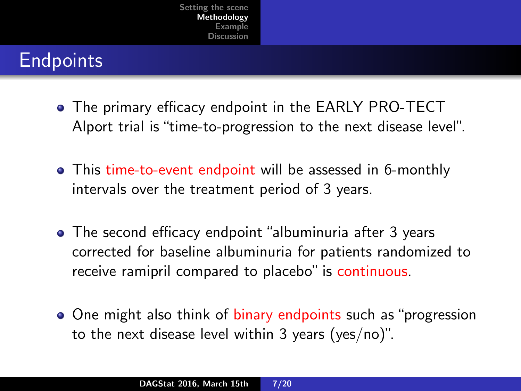### **Endpoints**

- The primary efficacy endpoint in the EARLY PRO-TECT Alport trial is "time-to-progression to the next disease level".
- This time-to-event endpoint will be assessed in 6-monthly intervals over the treatment period of 3 years.
- The second efficacy endpoint "albuminuria after 3 years corrected for baseline albuminuria for patients randomized to receive ramipril compared to placebo" is continuous.
- One might also think of binary endpoints such as "progression to the next disease level within 3 years (yes/no)".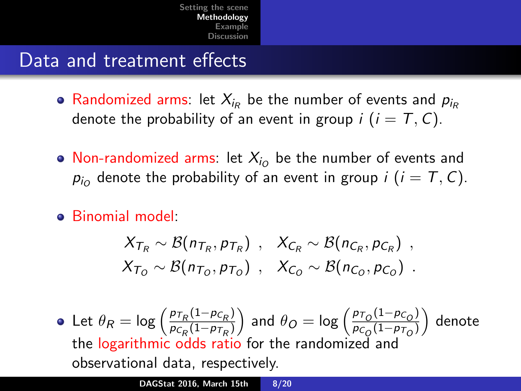#### Data and treatment effects

- Randomized arms: let  $X_{i_{R}}$  be the number of events and  $p_{i_{R}}$ denote the probability of an event in group  $i$  ( $i = T, C$ ).
- Non-randomized arms: let  $X_{i_O}$  be the number of events and  $p_{i_O}$  denote the probability of an event in group  $i$   $(i = T, C)$ .
- Binomial model:

$$
X_{T_R} \sim \mathcal{B}(n_{T_R}, p_{T_R}) , X_{C_R} \sim \mathcal{B}(n_{C_R}, p_{C_R}) ,
$$
  

$$
X_{T_O} \sim \mathcal{B}(n_{T_O}, p_{T_O}) , X_{C_O} \sim \mathcal{B}(n_{C_O}, p_{C_O}) .
$$

Let  $\theta_R = \log \left( \frac{p_{T_R}(1-p_{C_R})}{p_{C_R}(1-p_{T_R})} \right)$  $\frac{p_{T_R}(1-p_{C_R})}{p_{C_R}(1-p_{T_R})}$  and  $\theta_O = \log \left( \frac{p_{T_O}(1-p_{C_O})}{p_{C_O}(1-p_{T_O})} \right)$  $\frac{\rho_{\mathcal{T}_O}(1-\rho_{\mathcal{C}_O})}{\rho_{\mathcal{C}_O}(1-\rho_{\mathcal{T}_O})}$  denote the logarithmic odds ratio for the randomized and observational data, respectively.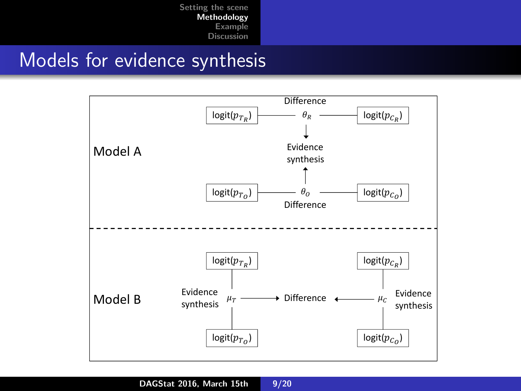#### Models for evidence synthesis

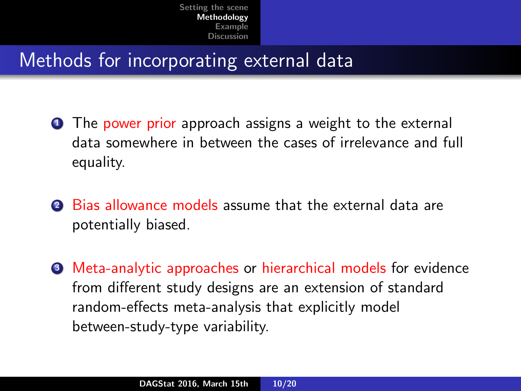## Methods for incorporating external data

- **1** The power prior approach assigns a weight to the external data somewhere in between the cases of irrelevance and full equality.
- <sup>2</sup> Bias allowance models assume that the external data are potentially biased.
- **3** Meta-analytic approaches or hierarchical models for evidence from different study designs are an extension of standard random-effects meta-analysis that explicitly model between-study-type variability.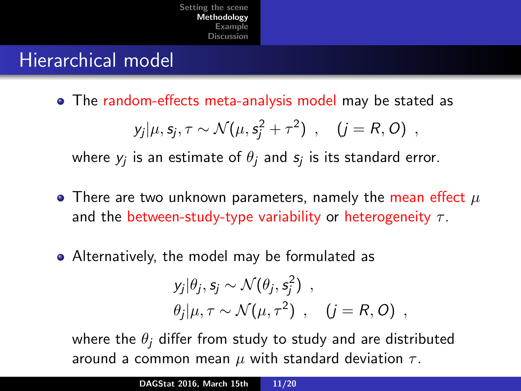#### Hierarchical model

The random-effects meta-analysis model may be stated as

$$
y_j|\mu, s_j, \tau \sim \mathcal{N}(\mu, s_j^2 + \tau^2) , \quad (j = R, O) ,
$$

where  $y_j$  is an estimate of  $\theta_j$  and  $s_j$  is its standard error.

- There are two unknown parameters, namely the mean effect  $\mu$ and the between-study-type variability or heterogeneity  $\tau$ .
- Alternatively, the model may be formulated as

$$
y_j|\theta_j, s_j \sim \mathcal{N}(\theta_j, s_j^2) ,
$$
  

$$
\theta_j|\mu, \tau \sim \mathcal{N}(\mu, \tau^2) , \quad (j = R, O) ,
$$

where the  $\theta_i$  differ from study to study and are distributed around a common mean  $\mu$  with standard deviation  $\tau$ .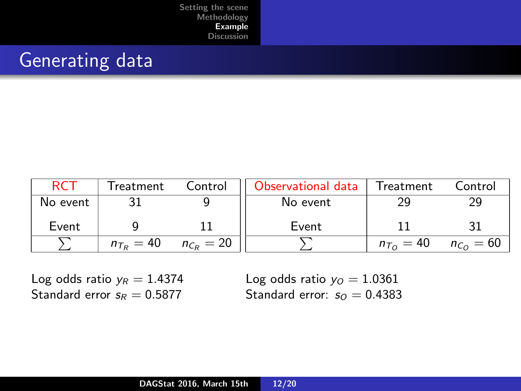## <span id="page-11-0"></span>Generating data

| <b>RC7</b> | Treatment             | Control        | Observational data | Treatment                | Control       |
|------------|-----------------------|----------------|--------------------|--------------------------|---------------|
| No event   |                       |                | No event           |                          |               |
| Event      |                       |                | Event              |                          |               |
|            | $n_{\tau_{\rm P}}=40$ | $n_{C_R} = 20$ |                    | $n_{\tau_{\Omega}} = 40$ | $n_{Co} = 60$ |

Log odds ratio  $y_R = 1.4374$ Standard error  $s_R = 0.5877$ 

Log odds ratio  $y_0 = 1.0361$ Standard error:  $s_0 = 0.4383$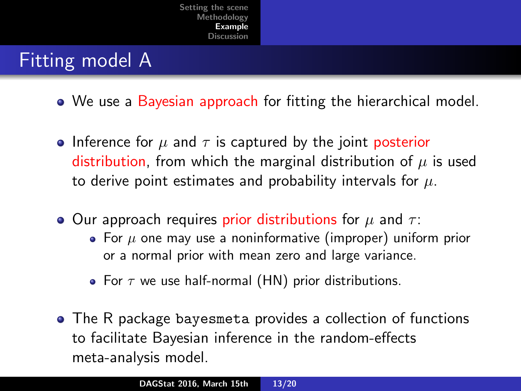### Fitting model A

- We use a Bayesian approach for fitting the hierarchical model.
- Inference for  $\mu$  and  $\tau$  is captured by the joint posterior distribution, from which the marginal distribution of  $\mu$  is used to derive point estimates and probability intervals for  $\mu$ .
- Our approach requires prior distributions for  $\mu$  and  $\tau$ :
	- For  $\mu$  one may use a noninformative (improper) uniform prior or a normal prior with mean zero and large variance.
	- For  $\tau$  we use half-normal (HN) prior distributions.
- The R package bayesmeta provides a collection of functions to facilitate Bayesian inference in the random-effects meta-analysis model.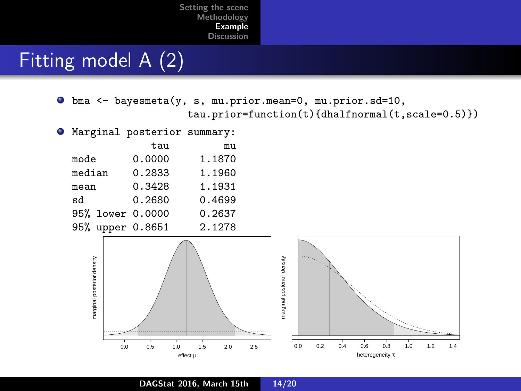## Fitting model A (2)

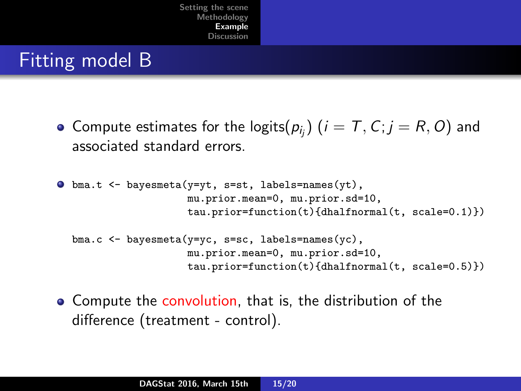### Fitting model B

Compute estimates for the logits $(p_{i_j})$   $(i = \mathcal{T}, \mathcal{C}; j = R, O)$  and associated standard errors.

```
\bullet bma.t <- bayesmeta(y=yt, s=st, labels=names(yt),
          mu.prior.mean=0, mu.prior.sd=10,
          tau.prior=function(t){dhalfnormal(t, scale=0.1)})
```

```
bma.c <- bayesmeta(y=yc, s=sc, labels=names(yc),
       mu.prior.mean=0, mu.prior.sd=10,
       tau.prior=function(t){dhalfnormal(t, scale=0.5)})
```
**•** Compute the convolution, that is, the distribution of the difference (treatment - control).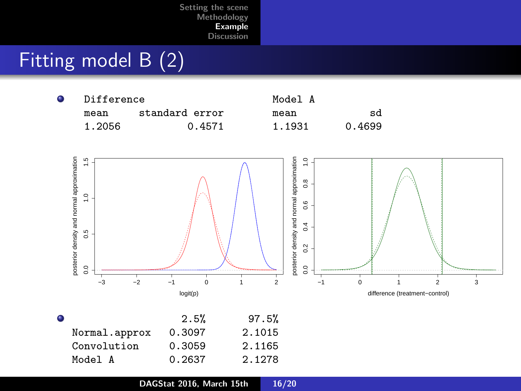# Fitting model B (2)

| ٠ | Difference |                | Model A |        |
|---|------------|----------------|---------|--------|
|   | mean       | standard error | mean    | sd     |
|   | 1.2056     | 0.4571         | 1.1931  | 0.4699 |



| $\bullet$     | 2.5%   | 97.5%  |
|---------------|--------|--------|
| Normal.approx | 0.3097 | 2.1015 |
| Convolution   | 0.3059 | 2.1165 |
| Model A       | 0.2637 | 2.1278 |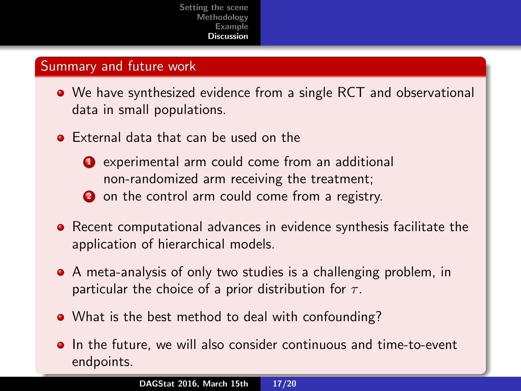#### <span id="page-16-0"></span>Summary and future work

- We have synthesized evidence from a single RCT and observational data in small populations.
- **•** External data that can be used on the
	- **4** experimental arm could come from an additional non-randomized arm receiving the treatment;
	- 2 on the control arm could come from a registry.
- **•** Recent computational advances in evidence synthesis facilitate the application of hierarchical models.
- A meta-analysis of only two studies is a challenging problem, in particular the choice of a prior distribution for  $\tau$ .
- What is the best method to deal with confounding?
- **In the future, we will also consider continuous and time-to-event** endpoints.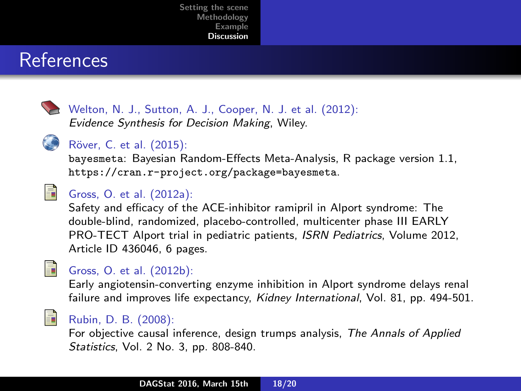#### **References**



Welton, N. J., Sutton, A. J., Cooper, N. J. et al. (2012): Evidence Synthesis for Decision Making, Wiley.



#### Röver, C. et al. (2015):

bayesmeta: Bayesian Random-Effects Meta-Analysis, R package version 1.1, <https://cran.r-project.org/package=bayesmeta>.



#### Gross, O. et al. (2012a):

Safety and efficacy of the ACE-inhibitor ramipril in Alport syndrome: The double-blind, randomized, placebo-controlled, multicenter phase III EARLY PRO-TECT Alport trial in pediatric patients, ISRN Pediatrics, Volume 2012, Article ID 436046, 6 pages.



#### Gross, O. et al. (2012b):

Early angiotensin-converting enzyme inhibition in Alport syndrome delays renal failure and improves life expectancy, Kidney International, Vol. 81, pp. 494-501.



#### Rubin, D. B. (2008):

For objective causal inference, design trumps analysis, The Annals of Applied Statistics, Vol. 2 No. 3, pp. 808-840.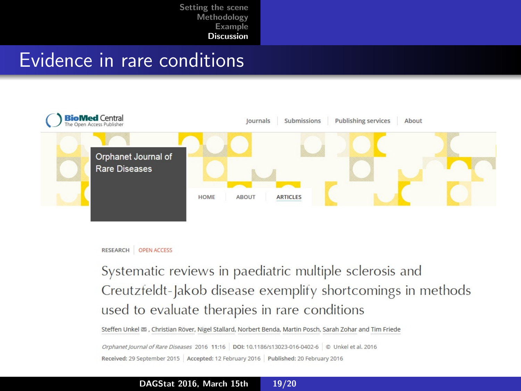#### Evidence in rare conditions





Systematic reviews in paediatric multiple sclerosis and Creutzfeldt-Jakob disease exemplify shortcomings in methods used to evaluate therapies in rare conditions

Steffen Unkel a , Christian Röver, Nigel Stallard, Norbert Benda, Martin Posch, Sarah Zohar and Tim Friede

Orphanet Journal of Rare Diseases 2016 11:16 DOI: 10.1186/s13023-016-0402-6 © Unkel et al. 2016 Received: 29 September 2015 Accepted: 12 February 2016 Published: 20 February 2016